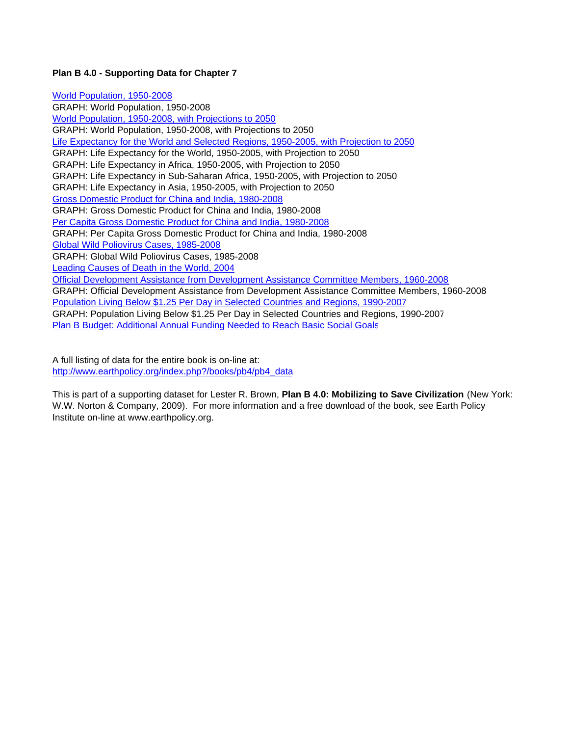### **Plan B 4.0 - Supporting Data for Chapter 7**

World Population, 1950-2008 GRAPH: World Population, 1950-2008 World Population, 1950-2008, with Projections to 2050 GRAPH: World Population, 1950-2008, with Projections to 2050 Life Expectancy for the World and Selected Regions, 1950-2005, with Projection to 2050 GRAPH: Life Expectancy for the World, 1950-2005, with Projection to 2050 GRAPH: Life Expectancy in Africa, 1950-2005, with Projection to 2050 GRAPH: Life Expectancy in Sub-Saharan Africa, 1950-2005, with Projection to 2050 GRAPH: Life Expectancy in Asia, 1950-2005, with Projection to 2050 Gross Domestic Product for China and India, 1980-2008 GRAPH: Gross Domestic Product for China and India, 1980-2008 Per Capita Gross Domestic Product for China and India, 1980-2008 GRAPH: Per Capita Gross Domestic Product for China and India, 1980-2008 Global Wild Poliovirus Cases, 1985-2008 GRAPH: Global Wild Poliovirus Cases, 1985-2008 Leading Causes of Death in the World, 2004 Official Development Assistance from Development Assistance Committee Members, 1960-2008 GRAPH: Official Development Assistance from Development Assistance Committee Members, 1960-2008 Population Living Below \$1.25 Per Day in Selected Countries and Regions, 1990-2007 GRAPH: Population Living Below \$1.25 Per Day in Selected Countries and Regions, 1990-2007 Plan B Budget: Additional Annual Funding Needed to Reach Basic Social Goals

A full listing of data for the entire book is on-line at: http://www.earthpolicy.org/index.php?/books/pb4/pb4\_data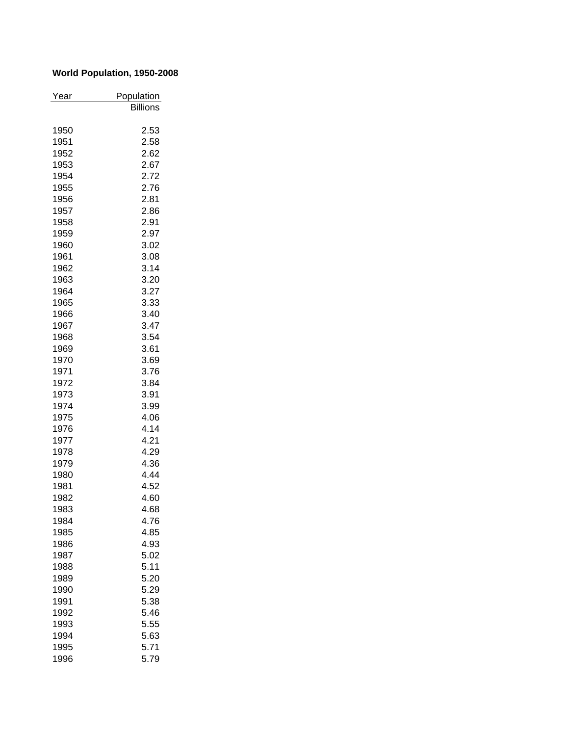## **World Population, 1950-2008**

| Year | Population      |
|------|-----------------|
|      | <b>Billions</b> |
|      |                 |
| 1950 | 2.53            |
| 1951 | 2.58            |
| 1952 | 2.62            |
| 1953 | 2.67            |
| 1954 | 2.72            |
| 1955 | 2.76            |
| 1956 | 2.81            |
| 1957 | 2.86            |
| 1958 | 2.91            |
| 1959 | 2.97            |
| 1960 | 3.02            |
| 1961 | 3.08            |
| 1962 | 3.14            |
| 1963 | 3.20            |
| 1964 | 3.27            |
| 1965 | 3.33            |
| 1966 | 3.40            |
| 1967 | 3.47            |
| 1968 | 3.54            |
| 1969 | 3.61            |
| 1970 | 3.69            |
| 1971 | 3.76            |
| 1972 | 3.84            |
| 1973 | 3.91            |
| 1974 | 3.99            |
| 1975 | 4.06            |
| 1976 | 4.14            |
| 1977 | 4.21            |
| 1978 | 4.29            |
| 1979 | 4.36            |
|      | 4.44            |
| 1980 |                 |
| 1981 | 4.52            |
| 1982 | 4.60            |
| 1983 | 4.68            |
| 1984 | 4.76            |
| 1985 | 4.85            |
| 1986 | 4.93            |
| 1987 | 5.02            |
| 1988 | 5.11            |
| 1989 | 5.20            |
| 1990 | 5.29            |
| 1991 | 5.38            |
| 1992 | 5.46            |
| 1993 | 5.55            |
| 1994 | 5.63            |
| 1995 | 5.71            |
| 1996 | 5.79            |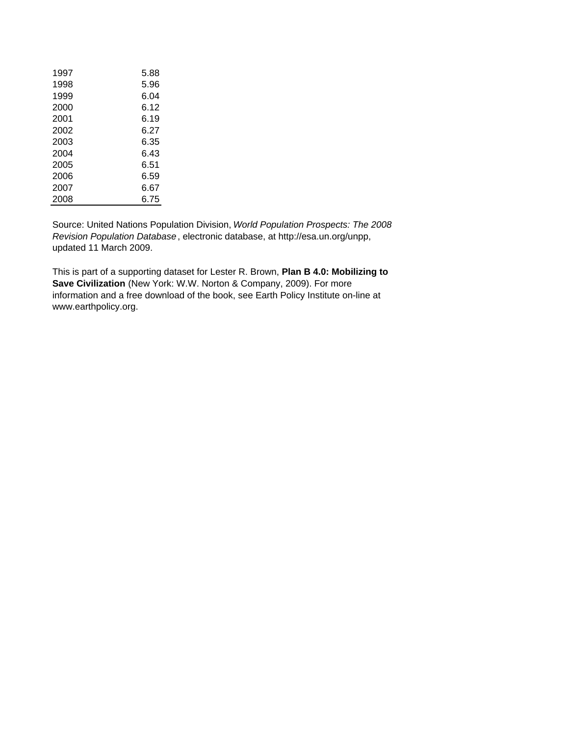| 1997 | 5.88 |
|------|------|
| 1998 | 5.96 |
| 1999 | 6.04 |
| 2000 | 6.12 |
| 2001 | 6.19 |
| 2002 | 6.27 |
| 2003 | 6.35 |
| 2004 | 6.43 |
| 2005 | 6.51 |
| 2006 | 6.59 |
| 2007 | 6.67 |
| 2008 | 6.75 |

Source: United Nations Population Division, *World Population Prospects: The 2008 Revision Population Database*, electronic database, at http://esa.un.org/unpp, updated 11 March 2009.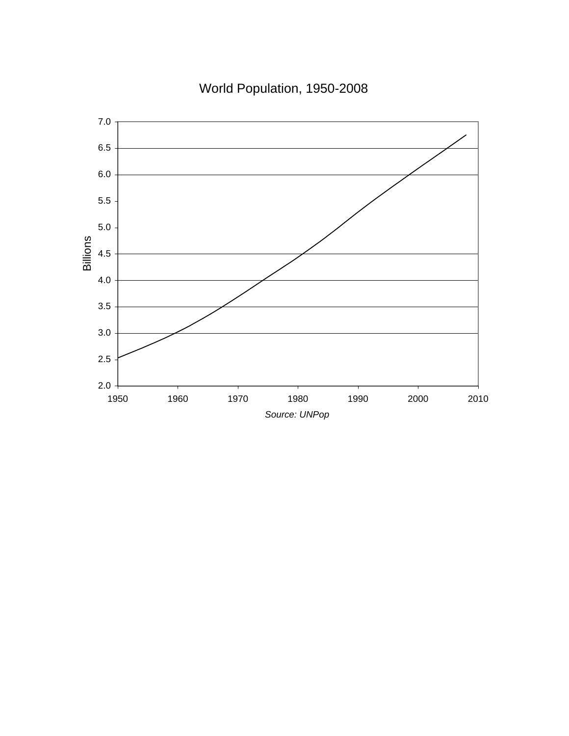World Population, 1950-2008

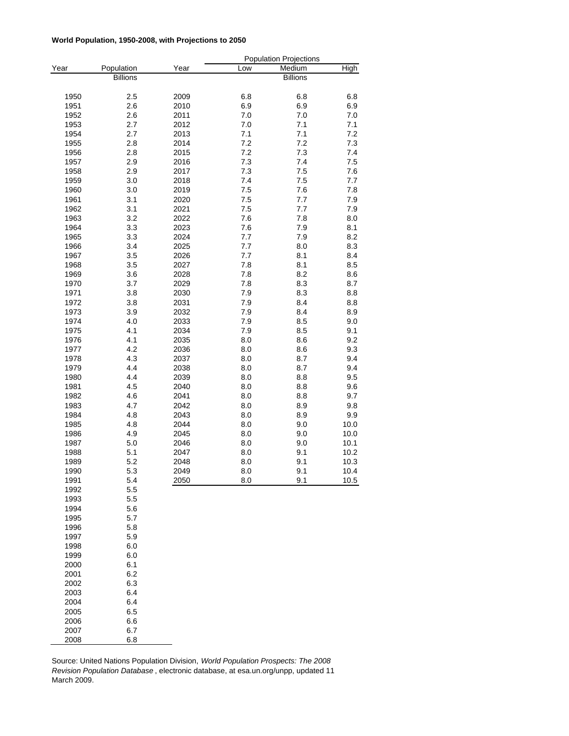#### **World Population, 1950-2008, with Projections to 2050**

|      |                 |      |              | <b>Population Projections</b> |      |
|------|-----------------|------|--------------|-------------------------------|------|
| Year | Population      | Year | Low          | Medium                        | High |
|      | <b>Billions</b> |      |              | <b>Billions</b>               |      |
|      |                 |      |              |                               |      |
| 1950 | 2.5             | 2009 | 6.8          | 6.8                           | 6.8  |
| 1951 | 2.6             | 2010 | 6.9          | 6.9                           | 6.9  |
| 1952 | 2.6             | 2011 | 7.0          | 7.0                           | 7.0  |
| 1953 | 2.7             | 2012 | 7.0          | 7.1                           | 7.1  |
| 1954 | 2.7             | 2013 | 7.1          | 7.1                           | 7.2  |
| 1955 | 2.8             | 2014 | 7.2          | 7.2                           | 7.3  |
| 1956 | 2.8             | 2015 | 7.2          | 7.3                           | 7.4  |
| 1957 | 2.9             | 2016 | 7.3          | 7.4                           | 7.5  |
| 1958 | 2.9             | 2017 | 7.3          | 7.5                           | 7.6  |
| 1959 | 3.0             | 2018 | 7.4          | 7.5                           | 7.7  |
| 1960 | 3.0             | 2019 | 7.5          | 7.6                           | 7.8  |
| 1961 | 3.1             | 2020 | 7.5          | 7.7                           | 7.9  |
| 1962 | 3.1             | 2021 | 7.5          | 7.7                           | 7.9  |
| 1963 | 3.2             | 2022 | 7.6          | 7.8                           | 8.0  |
| 1964 | 3.3             | 2023 | 7.6          | 7.9                           | 8.1  |
| 1965 | 3.3             | 2024 | 7.7          | 7.9                           | 8.2  |
| 1966 | 3.4             | 2025 | 7.7          | 8.0                           | 8.3  |
| 1967 | 3.5             | 2026 | 7.7          | 8.1                           | 8.4  |
| 1968 | 3.5             | 2027 | 7.8          | 8.1                           | 8.5  |
| 1969 | 3.6             | 2028 | $7.8$        | 8.2                           | 8.6  |
| 1970 | 3.7             | 2029 | 7.8          | 8.3                           | 8.7  |
| 1971 | 3.8             | 2030 | 7.9          | 8.3                           | 8.8  |
| 1972 | 3.8             | 2031 | 7.9          | 8.4                           | 8.8  |
| 1973 | 3.9             | 2032 | 7.9          | 8.4                           | 8.9  |
| 1974 | 4.0             | 2033 | 7.9          | 8.5                           | 9.0  |
| 1975 | 4.1             | 2034 | 7.9          | 8.5                           | 9.1  |
| 1976 | 4.1             | 2035 | 8.0          | 8.6                           | 9.2  |
| 1977 | 4.2             | 2036 | 8.0          | 8.6                           | 9.3  |
| 1978 | 4.3             | 2037 | 8.0          | 8.7                           | 9.4  |
| 1979 | 4.4             | 2038 | 8.0          | 8.7                           | 9.4  |
| 1980 | 4.4             | 2039 | 8.0          | 8.8                           | 9.5  |
| 1981 | 4.5             | 2040 | 8.0          | 8.8                           | 9.6  |
| 1982 | 4.6             | 2041 | 8.0          | 8.8                           | 9.7  |
| 1983 | 4.7             | 2042 | 8.0          | 8.9                           | 9.8  |
| 1984 | 4.8             | 2043 | 8.0          | 8.9                           | 9.9  |
| 1985 | 4.8             | 2044 | $_{\rm 8.0}$ | 9.0                           | 10.0 |
| 1986 | 4.9             | 2045 | 8.0          | 9.0                           | 10.0 |
| 1987 | 5.0             | 2046 | 8.0          | 9.0                           | 10.1 |
| 1988 | 5.1             | 2047 | 8.0          | 9.1                           | 10.2 |
| 1989 | 5.2             | 2048 | 8.0          | 9.1                           | 10.3 |
| 1990 | 5.3             | 2049 | $8.0\,$      | 9.1                           | 10.4 |
| 1991 | 5.4             | 2050 | 8.0          | 9.1                           | 10.5 |
| 1992 | 5.5             |      |              |                               |      |
| 1993 | 5.5             |      |              |                               |      |
| 1994 | 5.6             |      |              |                               |      |
| 1995 | 5.7             |      |              |                               |      |
| 1996 | 5.8             |      |              |                               |      |
| 1997 | 5.9             |      |              |                               |      |
| 1998 | 6.0             |      |              |                               |      |
| 1999 | 6.0             |      |              |                               |      |
| 2000 | 6.1             |      |              |                               |      |
| 2001 | 6.2             |      |              |                               |      |
| 2002 | 6.3             |      |              |                               |      |
| 2003 | 6.4             |      |              |                               |      |
| 2004 | 6.4             |      |              |                               |      |
| 2005 | 6.5             |      |              |                               |      |
| 2006 | 6.6             |      |              |                               |      |
| 2007 | 6.7             |      |              |                               |      |
| 2008 | 6.8             |      |              |                               |      |

Source: United Nations Population Division, *World Population Prospects: The 2008 Revision Population Database* , electronic database, at esa.un.org/unpp, updated 11 March 2009.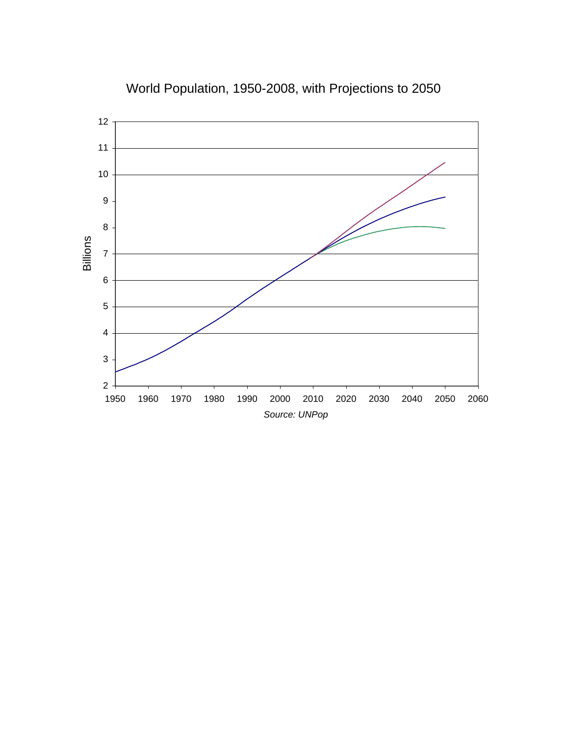

# World Population, 1950-2008, with Projections to 2050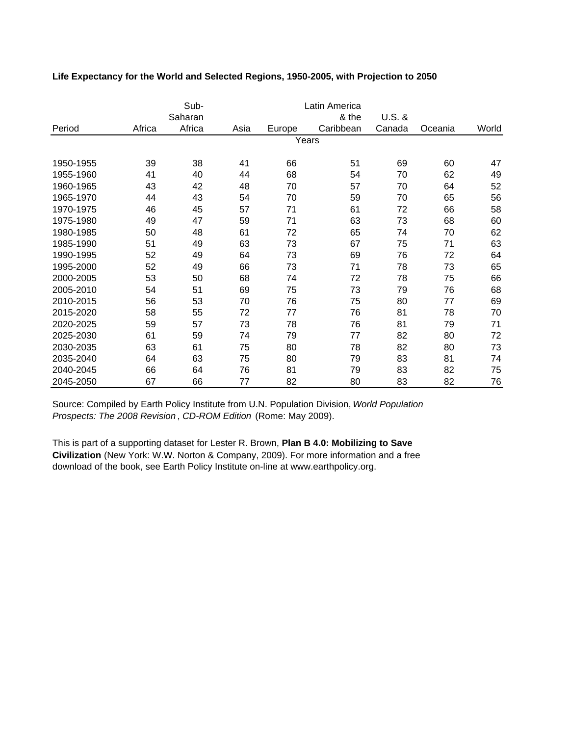| Life Expectancy for the World and Selected Regions, 1950-2005, with Projection to 2050 |  |  |
|----------------------------------------------------------------------------------------|--|--|
|----------------------------------------------------------------------------------------|--|--|

|           |        | Sub-    |      |        | Latin America |          |         |       |
|-----------|--------|---------|------|--------|---------------|----------|---------|-------|
|           |        | Saharan |      |        | & the         | $U.S.$ & |         |       |
| Period    | Africa | Africa  | Asia | Europe | Caribbean     | Canada   | Oceania | World |
|           |        |         |      |        | Years         |          |         |       |
| 1950-1955 | 39     | 38      | 41   | 66     | 51            | 69       | 60      | 47    |
| 1955-1960 | 41     | 40      | 44   | 68     | 54            | 70       | 62      | 49    |
| 1960-1965 | 43     | 42      | 48   | 70     | 57            | 70       | 64      | 52    |
| 1965-1970 | 44     | 43      | 54   | 70     | 59            | 70       | 65      | 56    |
| 1970-1975 | 46     | 45      | 57   | 71     | 61            | 72       | 66      | 58    |
| 1975-1980 | 49     | 47      | 59   | 71     | 63            | 73       | 68      | 60    |
| 1980-1985 | 50     | 48      | 61   | 72     | 65            | 74       | 70      | 62    |
| 1985-1990 | 51     | 49      | 63   | 73     | 67            | 75       | 71      | 63    |
| 1990-1995 | 52     | 49      | 64   | 73     | 69            | 76       | 72      | 64    |
| 1995-2000 | 52     | 49      | 66   | 73     | 71            | 78       | 73      | 65    |
| 2000-2005 | 53     | 50      | 68   | 74     | 72            | 78       | 75      | 66    |
| 2005-2010 | 54     | 51      | 69   | 75     | 73            | 79       | 76      | 68    |
| 2010-2015 | 56     | 53      | 70   | 76     | 75            | 80       | 77      | 69    |
| 2015-2020 | 58     | 55      | 72   | 77     | 76            | 81       | 78      | 70    |
| 2020-2025 | 59     | 57      | 73   | 78     | 76            | 81       | 79      | 71    |
| 2025-2030 | 61     | 59      | 74   | 79     | 77            | 82       | 80      | 72    |
| 2030-2035 | 63     | 61      | 75   | 80     | 78            | 82       | 80      | 73    |
| 2035-2040 | 64     | 63      | 75   | 80     | 79            | 83       | 81      | 74    |
| 2040-2045 | 66     | 64      | 76   | 81     | 79            | 83       | 82      | 75    |
| 2045-2050 | 67     | 66      | 77   | 82     | 80            | 83       | 82      | 76    |

Source: Compiled by Earth Policy Institute from U.N. Population Division, *World Population Prospects: The 2008 Revision* , *CD-ROM Edition* (Rome: May 2009).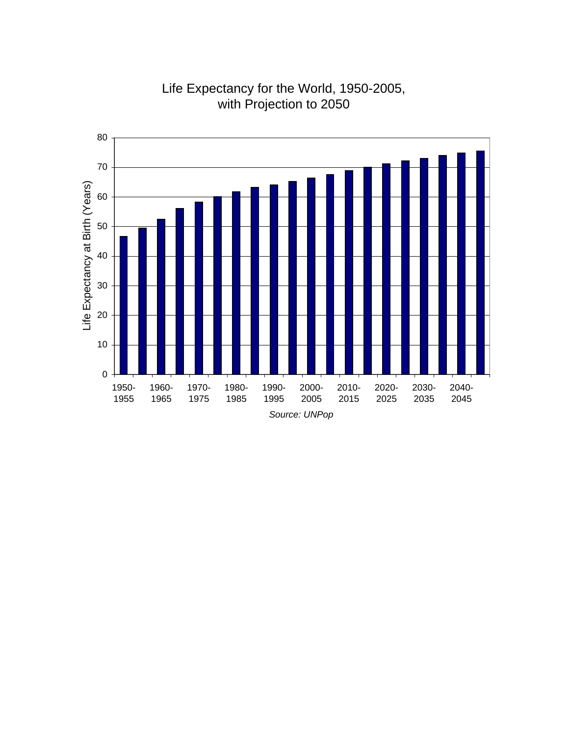

# Life Expectancy for the World, 1950-2005, with Projection to 2050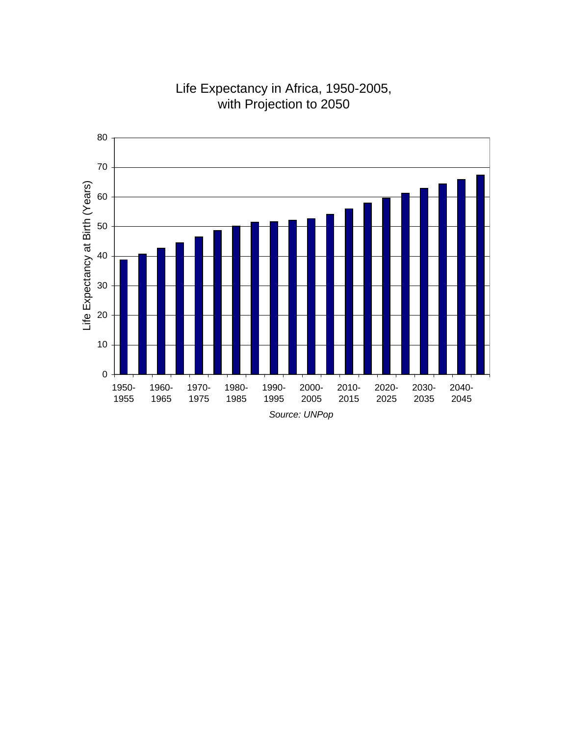

# Life Expectancy in Africa, 1950-2005, with Projection to 2050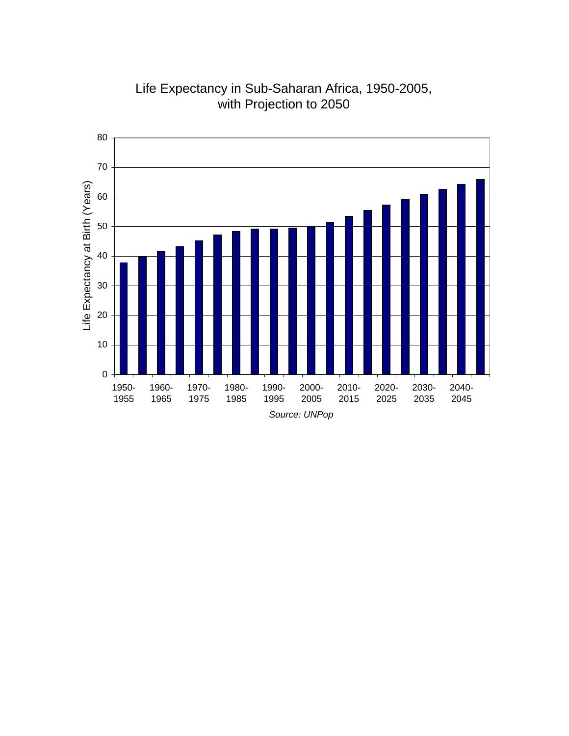

Life Expectancy in Sub-Saharan Africa, 1950-2005, with Projection to 2050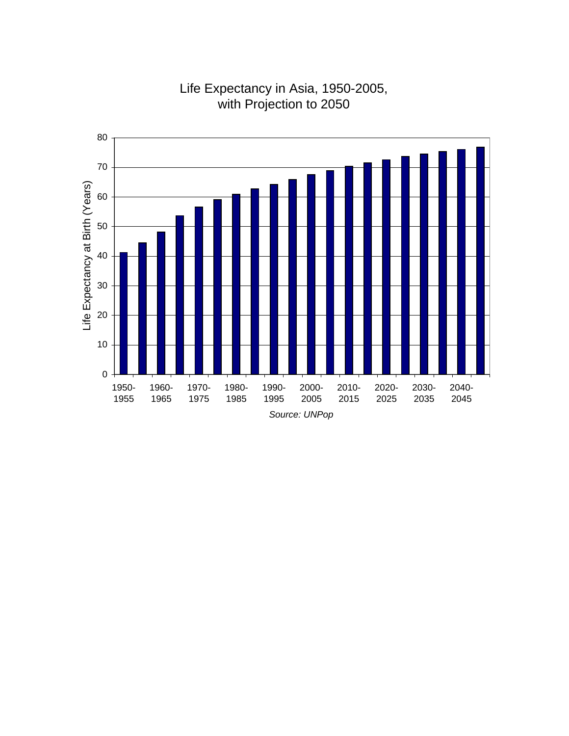

# Life Expectancy in Asia, 1950-2005, with Projection to 2050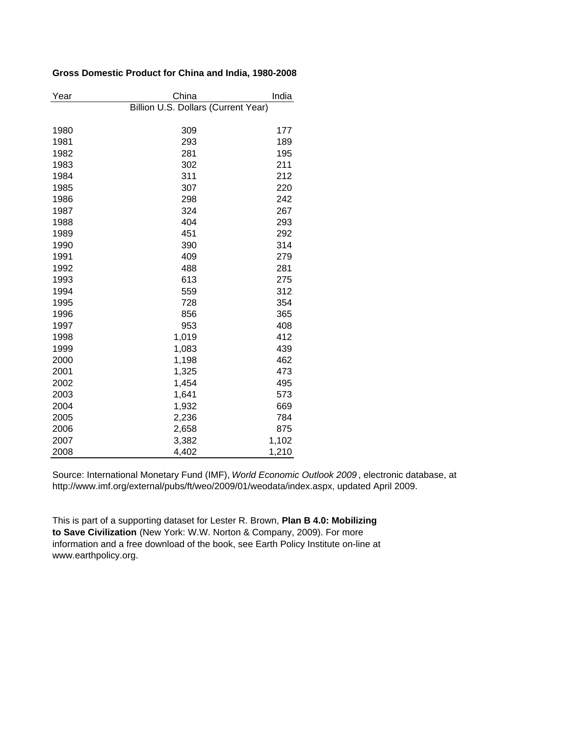### **Gross Domestic Product for China and India, 1980-2008**

| Year | China                               | India |
|------|-------------------------------------|-------|
|      | Billion U.S. Dollars (Current Year) |       |
|      |                                     |       |
| 1980 | 309                                 | 177   |
| 1981 | 293                                 | 189   |
| 1982 | 281                                 | 195   |
| 1983 | 302                                 | 211   |
| 1984 | 311                                 | 212   |
| 1985 | 307                                 | 220   |
| 1986 | 298                                 | 242   |
| 1987 | 324                                 | 267   |
| 1988 | 404                                 | 293   |
| 1989 | 451                                 | 292   |
| 1990 | 390                                 | 314   |
| 1991 | 409                                 | 279   |
| 1992 | 488                                 | 281   |
| 1993 | 613                                 | 275   |
| 1994 | 559                                 | 312   |
| 1995 | 728                                 | 354   |
| 1996 | 856                                 | 365   |
| 1997 | 953                                 | 408   |
| 1998 | 1,019                               | 412   |
| 1999 | 1,083                               | 439   |
| 2000 | 1,198                               | 462   |
| 2001 | 1,325                               | 473   |
| 2002 | 1,454                               | 495   |
| 2003 | 1,641                               | 573   |
| 2004 | 1,932                               | 669   |
| 2005 | 2,236                               | 784   |
| 2006 | 2,658                               | 875   |
| 2007 | 3,382                               | 1,102 |
| 2008 | 4,402                               | 1,210 |

Source: International Monetary Fund (IMF), *World Economic Outlook 2009* , electronic database, at http://www.imf.org/external/pubs/ft/weo/2009/01/weodata/index.aspx, updated April 2009.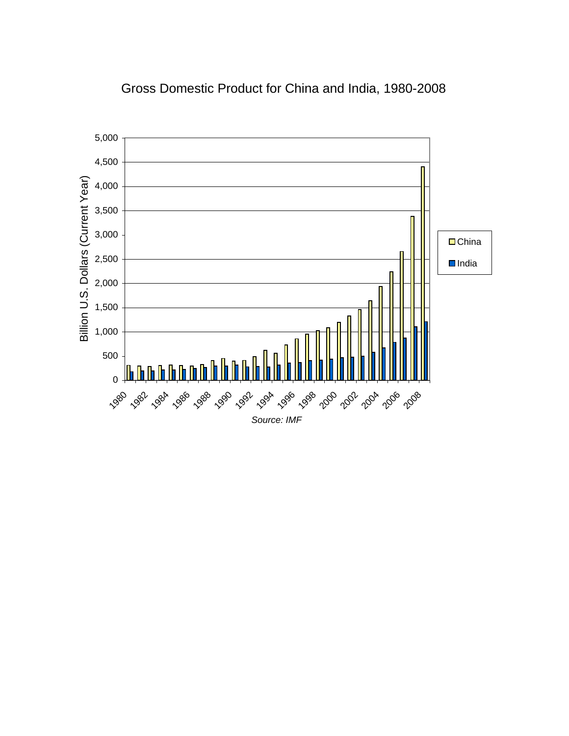

## Gross Domestic Product for China and India, 1980-2008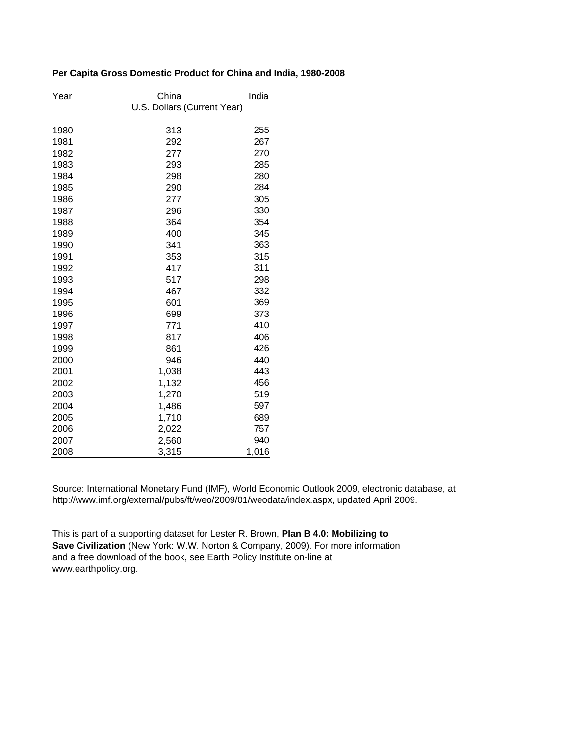|  |  |  |  | Per Capita Gross Domestic Product for China and India, 1980-2008 |
|--|--|--|--|------------------------------------------------------------------|
|  |  |  |  |                                                                  |

| Year | China                       |       |  |  |
|------|-----------------------------|-------|--|--|
|      | U.S. Dollars (Current Year) |       |  |  |
|      |                             |       |  |  |
| 1980 | 313                         | 255   |  |  |
| 1981 | 292                         | 267   |  |  |
| 1982 | 277                         | 270   |  |  |
| 1983 | 293                         | 285   |  |  |
| 1984 | 298                         | 280   |  |  |
| 1985 | 290                         | 284   |  |  |
| 1986 | 277                         | 305   |  |  |
| 1987 | 296                         | 330   |  |  |
| 1988 | 364                         | 354   |  |  |
| 1989 | 400                         | 345   |  |  |
| 1990 | 341                         | 363   |  |  |
| 1991 | 353                         | 315   |  |  |
| 1992 | 417                         | 311   |  |  |
| 1993 | 517                         | 298   |  |  |
| 1994 | 467                         | 332   |  |  |
| 1995 | 601                         | 369   |  |  |
| 1996 | 699                         | 373   |  |  |
| 1997 | 771                         | 410   |  |  |
| 1998 | 817                         | 406   |  |  |
| 1999 | 861                         | 426   |  |  |
| 2000 | 946                         | 440   |  |  |
| 2001 | 1,038                       | 443   |  |  |
| 2002 | 1,132                       | 456   |  |  |
| 2003 | 1,270                       | 519   |  |  |
| 2004 | 1,486                       | 597   |  |  |
| 2005 | 1,710                       | 689   |  |  |
| 2006 | 2,022                       | 757   |  |  |
| 2007 | 2,560                       | 940   |  |  |
| 2008 | 3,315                       | 1,016 |  |  |

Source: International Monetary Fund (IMF), World Economic Outlook 2009, electronic database, at http://www.imf.org/external/pubs/ft/weo/2009/01/weodata/index.aspx, updated April 2009.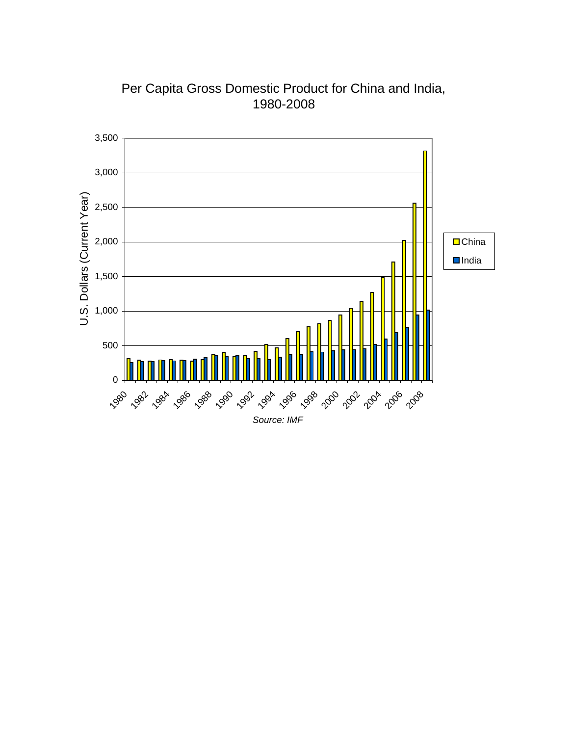

Per Capita Gross Domestic Product for China and India, 1980-2008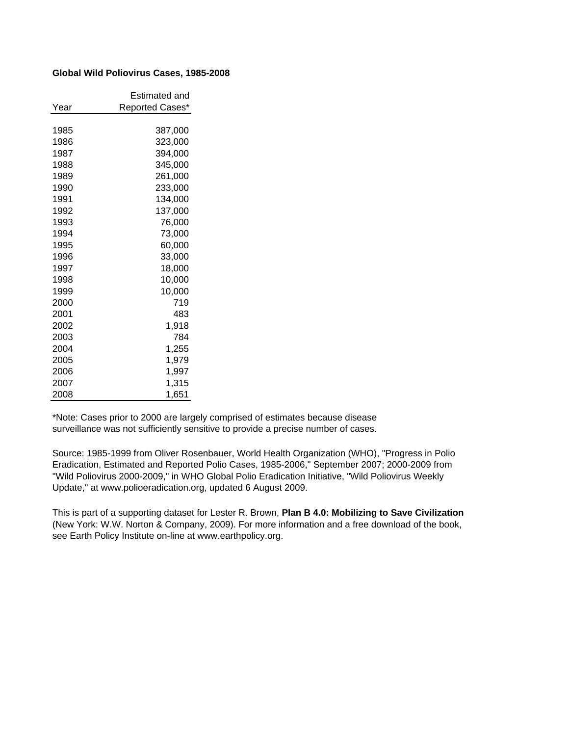### **Global Wild Poliovirus Cases, 1985-2008**

|      | Estimated and   |
|------|-----------------|
| Year | Reported Cases* |
|      |                 |
| 1985 | 387,000         |
| 1986 | 323,000         |
| 1987 | 394,000         |
| 1988 | 345,000         |
| 1989 | 261,000         |
| 1990 | 233,000         |
| 1991 | 134,000         |
| 1992 | 137,000         |
| 1993 | 76,000          |
| 1994 | 73,000          |
| 1995 | 60,000          |
| 1996 | 33,000          |
| 1997 | 18,000          |
| 1998 | 10,000          |
| 1999 | 10,000          |
| 2000 | 719             |
| 2001 | 483             |
| 2002 | 1,918           |
| 2003 | 784             |
| 2004 | 1,255           |
| 2005 | 1,979           |
| 2006 | 1,997           |
| 2007 | 1,315           |
| 2008 | 1,651           |

\*Note: Cases prior to 2000 are largely comprised of estimates because disease surveillance was not sufficiently sensitive to provide a precise number of cases.

Source: 1985-1999 from Oliver Rosenbauer, World Health Organization (WHO), "Progress in Polio Eradication, Estimated and Reported Polio Cases, 1985-2006," September 2007; 2000-2009 from "Wild Poliovirus 2000-2009," in WHO Global Polio Eradication Initiative, "Wild Poliovirus Weekly Update," at www.polioeradication.org, updated 6 August 2009.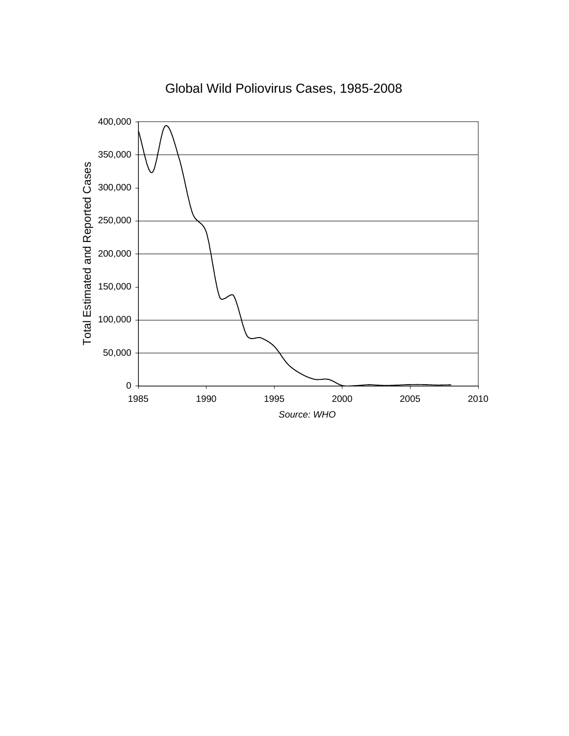

## Global Wild Poliovirus Cases, 1985-2008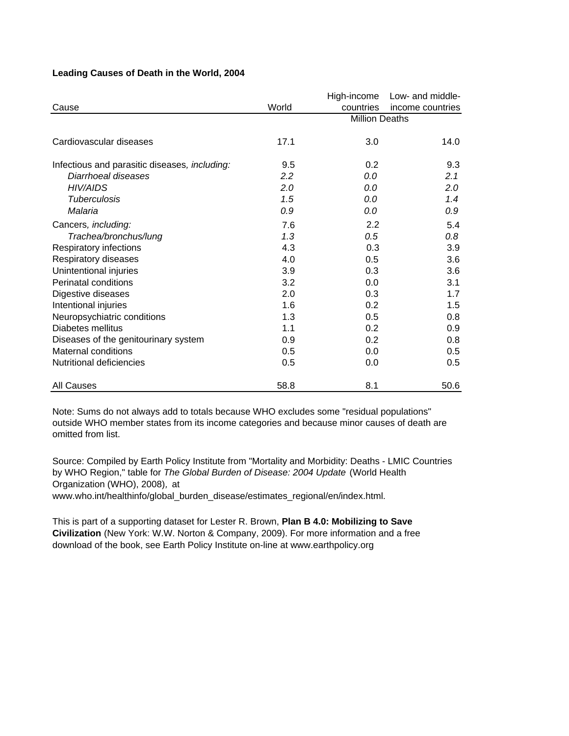|                                               |         | High-income           | Low- and middle- |
|-----------------------------------------------|---------|-----------------------|------------------|
| Cause                                         | World   | countries             | income countries |
|                                               |         | <b>Million Deaths</b> |                  |
|                                               |         |                       |                  |
| Cardiovascular diseases                       | 17.1    | 3.0                   | 14.0             |
| Infectious and parasitic diseases, including: | 9.5     | 0.2                   | 9.3              |
| Diarrhoeal diseases                           | $2.2\,$ | 0.0                   | 2.1              |
| <b>HIV/AIDS</b>                               | 2.0     | 0.0                   | 2.0              |
| <b>Tuberculosis</b>                           | 1.5     | 0.0                   | 1.4              |
| Malaria                                       | 0.9     | 0.0                   | 0.9              |
| Cancers, including:                           | 7.6     | 2.2                   | 5.4              |
| Trachea/bronchus/lung                         | 1.3     | 0.5                   | 0.8              |
| Respiratory infections                        | 4.3     | 0.3                   | 3.9              |
| Respiratory diseases                          | 4.0     | 0.5                   | 3.6              |
| Unintentional injuries                        | 3.9     | 0.3                   | 3.6              |
| Perinatal conditions                          | 3.2     | 0.0                   | 3.1              |
| Digestive diseases                            | 2.0     | 0.3                   | 1.7              |
| Intentional injuries                          | 1.6     | 0.2                   | 1.5              |
| Neuropsychiatric conditions                   | 1.3     | 0.5                   | 0.8              |
| Diabetes mellitus                             | 1.1     | 0.2                   | 0.9              |
| Diseases of the genitourinary system          | 0.9     | 0.2                   | 0.8              |
| Maternal conditions                           | 0.5     | 0.0                   | 0.5              |
| <b>Nutritional deficiencies</b>               | 0.5     | 0.0                   | 0.5              |
| <b>All Causes</b>                             | 58.8    | 8.1                   | 50.6             |

### **Leading Causes of Death in the World, 2004**

Note: Sums do not always add to totals because WHO excludes some "residual populations" outside WHO member states from its income categories and because minor causes of death are omitted from list.

Source: Compiled by Earth Policy Institute from "Mortality and Morbidity: Deaths - LMIC Countries by WHO Region," table for *The Global Burden of Disease: 2004 Update* (World Health Organization (WHO), 2008)*,* at www.who.int/healthinfo/global\_burden\_disease/estimates\_regional/en/index.html.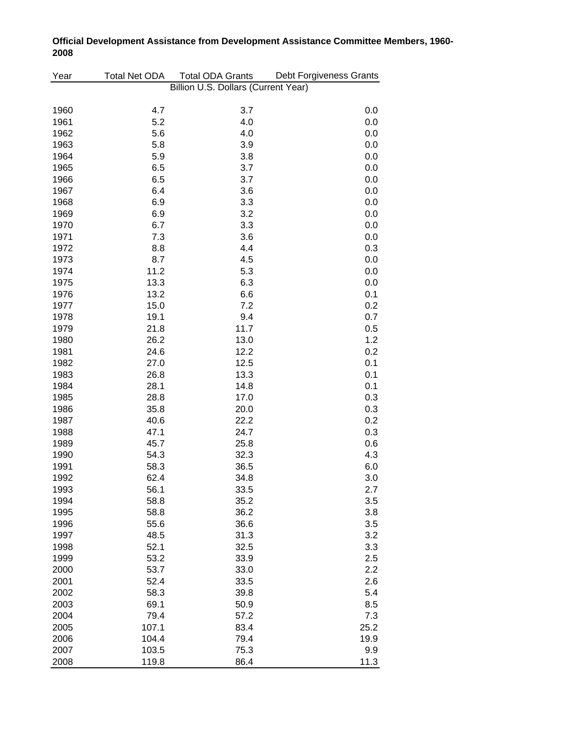| Year | Total Net ODA | <b>Total ODA Grants</b>             | Debt Forgiveness Grants |  |  |  |  |
|------|---------------|-------------------------------------|-------------------------|--|--|--|--|
|      |               | Billion U.S. Dollars (Current Year) |                         |  |  |  |  |
| 1960 | 4.7           | 3.7                                 | 0.0                     |  |  |  |  |
| 1961 | 5.2           | 4.0                                 | 0.0                     |  |  |  |  |
| 1962 | 5.6           | 4.0                                 | 0.0                     |  |  |  |  |
| 1963 | 5.8           | 3.9                                 | 0.0                     |  |  |  |  |
| 1964 | 5.9           | 3.8                                 | 0.0                     |  |  |  |  |
| 1965 | 6.5           | 3.7                                 | 0.0                     |  |  |  |  |
| 1966 | 6.5           | 3.7                                 | 0.0                     |  |  |  |  |
| 1967 | 6.4           | 3.6                                 | 0.0                     |  |  |  |  |
| 1968 | 6.9           | 3.3                                 | 0.0                     |  |  |  |  |
| 1969 | 6.9           | 3.2                                 | 0.0                     |  |  |  |  |
| 1970 | 6.7           | 3.3                                 | 0.0                     |  |  |  |  |
| 1971 | 7.3           | 3.6                                 | 0.0                     |  |  |  |  |
| 1972 | 8.8           | 4.4                                 | 0.3                     |  |  |  |  |
| 1973 | 8.7           | 4.5                                 | 0.0                     |  |  |  |  |
| 1974 | 11.2          | 5.3                                 | 0.0                     |  |  |  |  |
| 1975 | 13.3          | 6.3                                 | 0.0                     |  |  |  |  |
| 1976 | 13.2          | 6.6                                 | 0.1                     |  |  |  |  |
| 1977 | 15.0          | 7.2                                 | 0.2                     |  |  |  |  |
| 1978 | 19.1          | 9.4                                 | 0.7                     |  |  |  |  |
| 1979 | 21.8          | 11.7                                | 0.5                     |  |  |  |  |
| 1980 | 26.2          | 13.0                                | 1.2                     |  |  |  |  |
| 1981 | 24.6          | 12.2                                | 0.2                     |  |  |  |  |
| 1982 | 27.0          | 12.5                                | 0.1                     |  |  |  |  |
| 1983 | 26.8          | 13.3                                | 0.1                     |  |  |  |  |
| 1984 | 28.1          | 14.8                                | 0.1                     |  |  |  |  |
| 1985 | 28.8          | 17.0                                | 0.3                     |  |  |  |  |
| 1986 | 35.8          | 20.0                                | 0.3                     |  |  |  |  |
| 1987 | 40.6          | 22.2                                | 0.2                     |  |  |  |  |
| 1988 | 47.1          | 24.7                                | 0.3                     |  |  |  |  |
| 1989 | 45.7          | 25.8                                | 0.6                     |  |  |  |  |
| 1990 | 54.3          | 32.3                                | 4.3                     |  |  |  |  |
| 1991 | 58.3          | 36.5                                | 6.0                     |  |  |  |  |
| 1992 | 62.4          | 34.8                                | 3.0                     |  |  |  |  |
| 1993 | 56.1          | 33.5                                | 2.7                     |  |  |  |  |
| 1994 | 58.8          | 35.2                                | 3.5                     |  |  |  |  |
| 1995 | 58.8          | 36.2                                | 3.8                     |  |  |  |  |
| 1996 | 55.6          | 36.6                                | 3.5                     |  |  |  |  |
| 1997 | 48.5          | 31.3                                | 3.2                     |  |  |  |  |
| 1998 | 52.1          | 32.5                                | 3.3                     |  |  |  |  |
| 1999 | 53.2          | 33.9                                | 2.5                     |  |  |  |  |
| 2000 | 53.7          | 33.0                                | 2.2                     |  |  |  |  |
| 2001 | 52.4          | 33.5                                | 2.6                     |  |  |  |  |
| 2002 | 58.3          | 39.8                                | 5.4                     |  |  |  |  |
| 2003 | 69.1          | 50.9                                | 8.5                     |  |  |  |  |
| 2004 | 79.4          | 57.2                                | 7.3                     |  |  |  |  |
| 2005 | 107.1         | 83.4                                | 25.2                    |  |  |  |  |
| 2006 | 104.4         | 79.4                                | 19.9                    |  |  |  |  |
| 2007 | 103.5         | 75.3                                | 9.9                     |  |  |  |  |
| 2008 | 119.8         | 86.4                                | 11.3                    |  |  |  |  |

## **Official Development Assistance from Development Assistance Committee Members, 1960- 2008**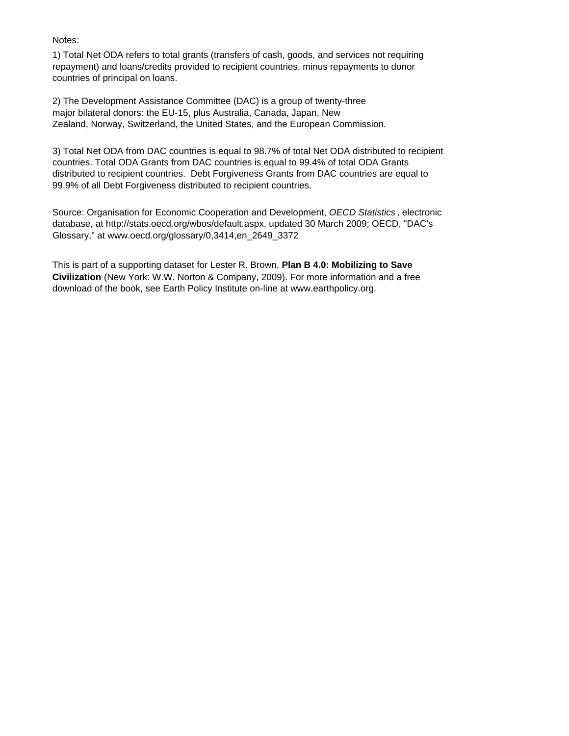### Notes:

1) Total Net ODA refers to total grants (transfers of cash, goods, and services not requiring repayment) and loans/credits provided to recipient countries, minus repayments to donor countries of principal on loans.

2) The Development Assistance Committee (DAC) is a group of twenty-three major bilateral donors: the EU-15, plus Australia, Canada, Japan, New Zealand, Norway, Switzerland, the United States, and the European Commission.

3) Total Net ODA from DAC countries is equal to 98.7% of total Net ODA distributed to recipient countries. Total ODA Grants from DAC countries is equal to 99.4% of total ODA Grants distributed to recipient countries. Debt Forgiveness Grants from DAC countries are equal to 99.9% of all Debt Forgiveness distributed to recipient countries.

Source: Organisation for Economic Cooperation and Development, *OECD Statistics* , electronic database, at http://stats.oecd.org/wbos/default.aspx, updated 30 March 2009; OECD, "DAC's Glossary," at www.oecd.org/glossary/0,3414,en\_2649\_3372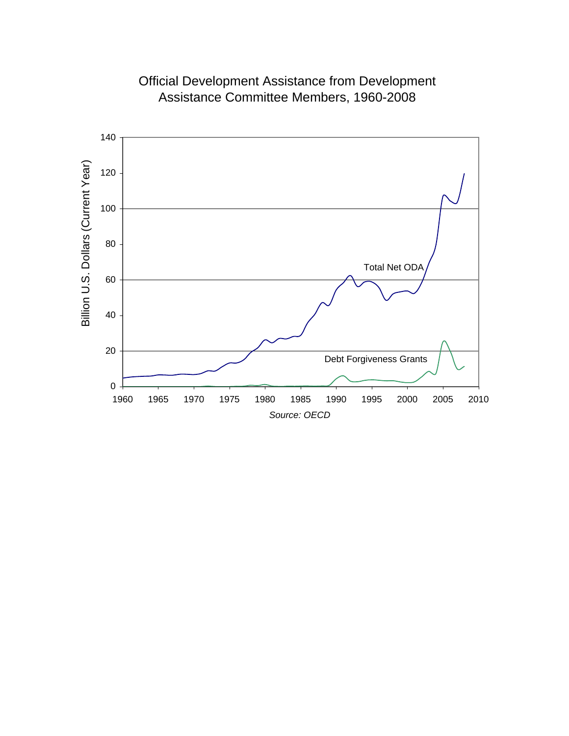

Official Development Assistance from Development Assistance Committee Members, 1960-2008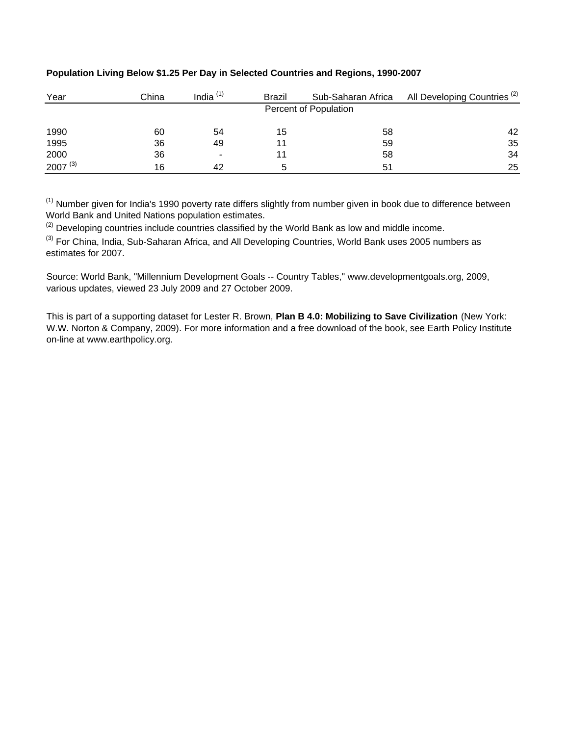| Year         | China | India <sup>(1)</sup>     | Brazil | Sub-Saharan Africa    | All Developing Countries <sup>(2)</sup> |
|--------------|-------|--------------------------|--------|-----------------------|-----------------------------------------|
|              |       |                          |        | Percent of Population |                                         |
| 1990         | 60    | 54                       | 15     | 58                    | 42                                      |
| 1995         | 36    | 49                       |        | 59                    | 35                                      |
| 2000         | 36    | $\overline{\phantom{0}}$ |        | 58                    | 34                                      |
| $2007^{(3)}$ | 16    | 42                       | 5      | 51                    | 25                                      |

### **Population Living Below \$1.25 Per Day in Selected Countries and Regions, 1990-2007**

(1) Number given for India's 1990 poverty rate differs slightly from number given in book due to difference between World Bank and United Nations population estimates.

 $<sup>(2)</sup>$  Developing countries include countries classified by the World Bank as low and middle income.</sup>

(3) For China, India, Sub-Saharan Africa, and All Developing Countries, World Bank uses 2005 numbers as estimates for 2007.

Source: World Bank, "Millennium Development Goals -- Country Tables," www.developmentgoals.org, 2009, various updates, viewed 23 July 2009 and 27 October 2009.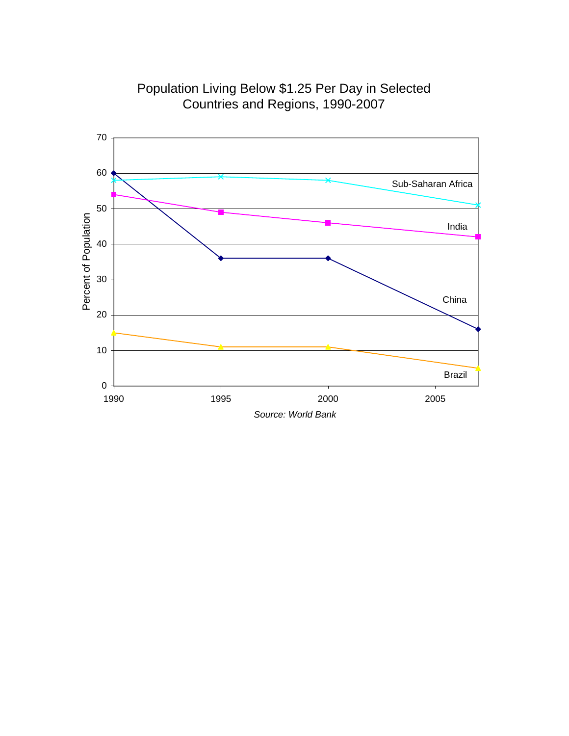

Population Living Below \$1.25 Per Day in Selected Countries and Regions, 1990-2007